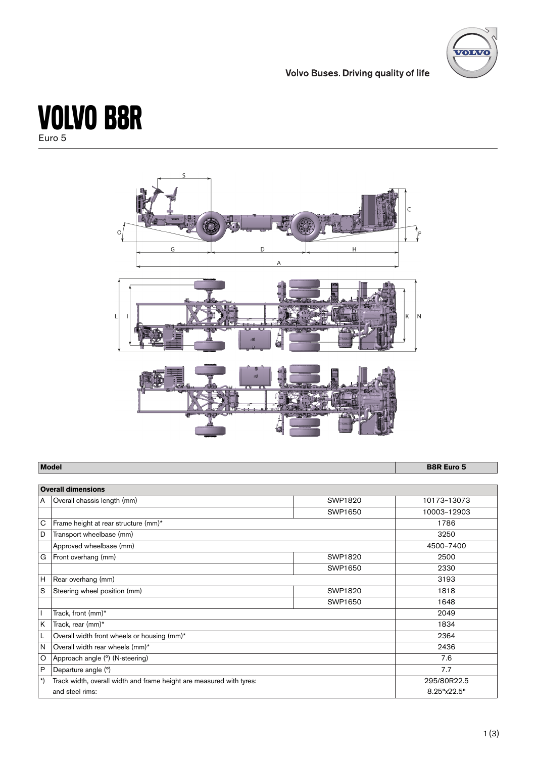

**Volvo Buses. Driving quality of life** 

### Volvo B8R

Euro 5



| <b>Model</b> |                                                                      |         | <b>B8R Euro 5</b> |
|--------------|----------------------------------------------------------------------|---------|-------------------|
|              |                                                                      |         |                   |
|              | <b>Overall dimensions</b>                                            |         |                   |
| l A          | Overall chassis length (mm)                                          | SWP1820 | 10173-13073       |
|              |                                                                      | SWP1650 | 10003-12903       |
| $\mathbf C$  | Frame height at rear structure (mm)*                                 |         | 1786              |
| D            | Transport wheelbase (mm)                                             |         | 3250              |
|              | Approved wheelbase (mm)                                              |         | 4500-7400         |
| G            | Front overhang (mm)                                                  | SWP1820 | 2500              |
|              |                                                                      | SWP1650 | 2330              |
| lн           | Rear overhang (mm)                                                   |         | 3193              |
| S            | Steering wheel position (mm)                                         | SWP1820 | 1818              |
|              |                                                                      | SWP1650 | 1648              |
|              | Track, front (mm)*                                                   |         | 2049              |
| K            | Track, rear (mm)*                                                    |         | 1834              |
| ١L           | Overall width front wheels or housing (mm)*                          |         | 2364              |
| l N          | Overall width rear wheels (mm)*                                      |         | 2436              |
| $\circ$      | Approach angle (°) (N-steering)                                      |         | 7.6               |
| $\mathsf{P}$ | Departure angle (°)                                                  |         | 7.7               |
| ∣*)          | Track width, overall width and frame height are measured with tyres: |         | 295/80R22.5       |
|              | and steel rims:                                                      |         | 8.25"x22.5"       |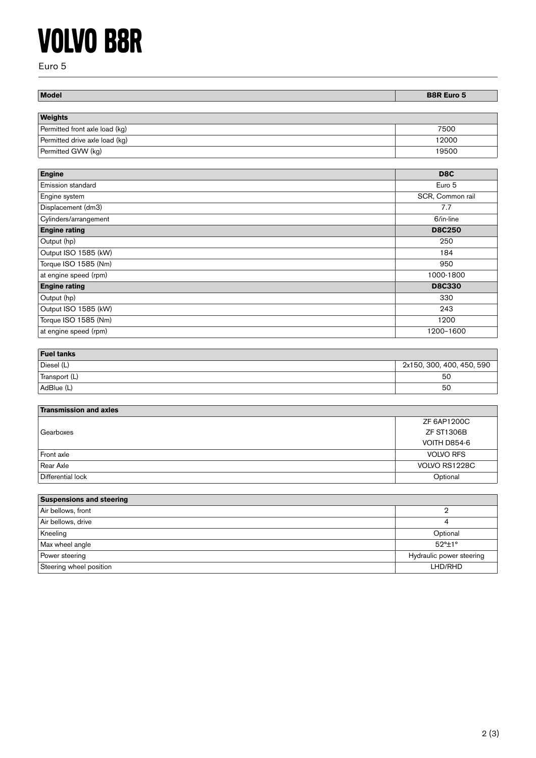# Volvo B8R

Euro 5

| <b>Model</b>                   | <b>B8R Euro 5</b> |  |
|--------------------------------|-------------------|--|
| Weights                        |                   |  |
| Permitted front axle load (kg) | 7500              |  |
| Permitted drive axle load (kg) | 12000             |  |

Permitted GVW (kg) 19500

| Engine                   | D <sub>8</sub> C |
|--------------------------|------------------|
| <b>Emission standard</b> | Euro 5           |
| Engine system            | SCR, Common rail |
| Displacement (dm3)       | 7.7              |
| Cylinders/arrangement    | 6/in-line        |
| <b>Engine rating</b>     | <b>D8C250</b>    |
| Output (hp)              | 250              |
| Output ISO 1585 (kW)     | 184              |
| Torque ISO 1585 (Nm)     | 950              |
| at engine speed (rpm)    | 1000-1800        |
| <b>Engine rating</b>     | <b>D8C330</b>    |
| Output (hp)              | 330              |
| Output ISO 1585 (kW)     | 243              |
| Torque ISO 1585 (Nm)     | 1200             |
| at engine speed (rpm)    | 1200-1600        |

| <b>Fuel tanks</b> |                           |  |
|-------------------|---------------------------|--|
| Diesel (L)        | 2x150, 300, 400, 450, 590 |  |
| Transport (L)     | 50                        |  |
| AdBlue (L)        | 50                        |  |

| <b>Transmission and axles</b> |                    |  |
|-------------------------------|--------------------|--|
|                               | <b>ZF 6AP1200C</b> |  |
| Gearboxes                     | <b>ZF ST1306B</b>  |  |
|                               | VOITH D854-6       |  |
| Front axle                    | <b>VOLVO RFS</b>   |  |
| Rear Axle                     | VOLVO RS1228C      |  |
| Differential lock             | Optional           |  |

### **Suspensions and steering**

| Air bellows, front      |                          |
|-------------------------|--------------------------|
| Air bellows, drive      |                          |
| Kneeling                | Optional                 |
| Max wheel angle         | $52^{\circ}$ ±1°         |
| Power steering          | Hydraulic power steering |
| Steering wheel position | LHD/RHD                  |